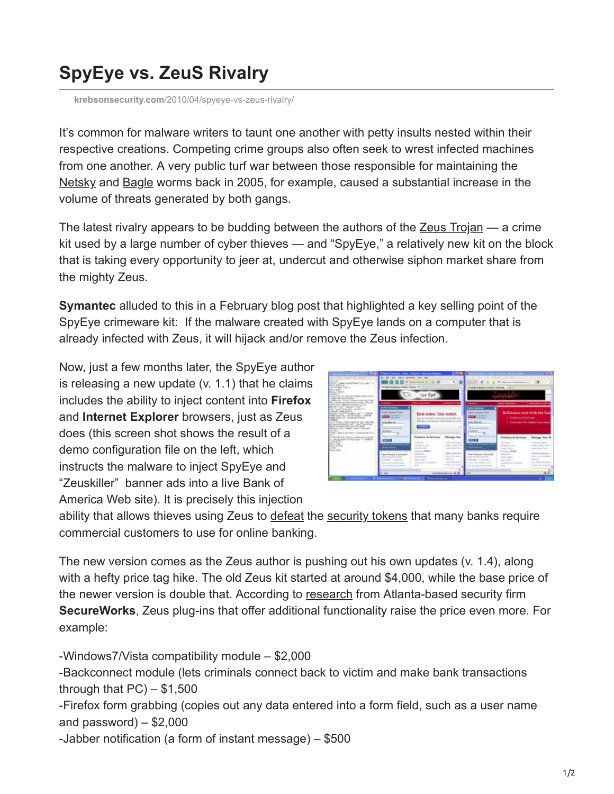## **SpyEye vs. ZeuS Rivalry**

**krebsonsecurity.com**[/2010/04/spyeye-vs-zeus-rivalry/](https://krebsonsecurity.com/2010/04/spyeye-vs-zeus-rivalry/)

It's common for malware writers to taunt one another with petty insults nested within their respective creations. Competing crime groups also often seek to wrest infected machines from one another. A very public turf war between those responsible for maintaining the [Netsky](http://en.wikipedia.org/wiki/Netsky_%28computer_worm%29) and [Bagle](http://en.wikipedia.org/wiki/Bagle_%28computer_worm%29) worms back in 2005, for example, caused a substantial increase in the volume of threats generated by both gangs.

The latest rivalry appears to be budding between the authors of the [Zeus Trojan](http://www.krebsonsecurity.com/?s=zeus&x=0&y=0) — a crime kit used by a large number of cyber thieves — and "SpyEye," a relatively new kit on the block that is taking every opportunity to jeer at, undercut and otherwise siphon market share from the mighty Zeus.

**Symantec** alluded to this in [a February blog post](http://www.symantec.com/connect/blogs/spyeye-bot-versus-zeus-bot) that highlighted a key selling point of the SpyEye crimeware kit: If the malware created with SpyEye lands on a computer that is already infected with Zeus, it will hijack and/or remove the Zeus infection.

Now, just a few months later, the SpyEye author is releasing a new update (v. 1.1) that he claims includes the ability to inject content into **Firefox** and **Internet Explorer** browsers, just as Zeus does (this screen shot shows the result of a demo configuration file on the left, which instructs the malware to inject SpyEye and "Zeuskiller" banner ads into a live Bank of America Web site). It is precisely this injection

| July Maria Bonat Ad. Column<br><b>Carl Carl</b><br>AT LEE COMM SUISSIPANE TO A COUP IS<br>ALC: Lating<br>A is all deliver a series.<br><b>MAIL AND</b><br><b>GALL</b> FARMS<br>ALL-ACCURATIONS-AND-SUP<br>AND ANYTHOUGH<br>Greenway Miller, Children built Augustus<br>Factorization of the Control of Canada<br>and Lands, Luddham e Loncol, July 4, Jr.<br>anywhere Line recognition of<br>to verticers' in the "<br>Fanal wall each to<br>ALCOHOL: THE REAL PERSONAL PROPERTY AND INCOME.<br>rate and Pity HouseAfter, create<br>THE R. P. LEWIS CO., LANSING MICH.<br><b>STREET</b><br>heart beautifulnes, doubles and tracking<br>a barreardsbell, but " daid from has<br>hall the world the attended her<br>of Coll + '60" main + Cherry Gorden<br>on Early 1<br>TOWN WAS A LATER TO MAINTAIN AT A<br>PUSSING MELTING CONTRACTOR<br><b>POSTAGE AND PARTIES</b><br><b>ALL THE</b><br><b>Act a street</b><br><b>LINE</b><br><b>Hota, and</b> | [Wild: Fiftebol Inches   Here   Renand Nelson/Hedgale.<br>In 10 per weer indeed lot on<br>ĸ<br>4 Ford of Grandon Stewart   Forest 12<br>Spy Eye:                                                                                                          |                                                                                                                                                                                            |                                                                                                                                                                                                                                                                                                                        | Life and dealer production that was<br>* trackship by transport of the Control of the Control of the Control of the Control of<br>17 Hardcut-America 1 Note 1 Peterson                                                                                    |                                                                                                                                                                                                                  |                                                                                                                                                                                                                                       |
|--------------------------------------------------------------------------------------------------------------------------------------------------------------------------------------------------------------------------------------------------------------------------------------------------------------------------------------------------------------------------------------------------------------------------------------------------------------------------------------------------------------------------------------------------------------------------------------------------------------------------------------------------------------------------------------------------------------------------------------------------------------------------------------------------------------------------------------------------------------------------------------------------------------------------------------------------|-----------------------------------------------------------------------------------------------------------------------------------------------------------------------------------------------------------------------------------------------------------|--------------------------------------------------------------------------------------------------------------------------------------------------------------------------------------------|------------------------------------------------------------------------------------------------------------------------------------------------------------------------------------------------------------------------------------------------------------------------------------------------------------------------|-----------------------------------------------------------------------------------------------------------------------------------------------------------------------------------------------------------------------------------------------------------|------------------------------------------------------------------------------------------------------------------------------------------------------------------------------------------------------------------|---------------------------------------------------------------------------------------------------------------------------------------------------------------------------------------------------------------------------------------|
|                                                                                                                                                                                                                                                                                                                                                                                                                                                                                                                                                                                                                                                                                                                                                                                                                                                                                                                                                  | <b>FEMALES</b> II<br><b>CONSULTANT</b><br><b>GRASS SEARCHERS</b>                                                                                                                                                                                          |                                                                                                                                                                                            |                                                                                                                                                                                                                                                                                                                        | <b>NEWSET</b>                                                                                                                                                                                                                                             | -----                                                                                                                                                                                                            | <b><i><u><b>AMERAHELLER</b></u></i></b>                                                                                                                                                                                               |
|                                                                                                                                                                                                                                                                                                                                                                                                                                                                                                                                                                                                                                                                                                                                                                                                                                                                                                                                                  | adaa iirakay<br>Airie Scows, First,<br><b>PERSONAL PROPERTY</b><br><b>NATIONAL RE</b><br>Total Avenue Company Corp.<br><b>CALLES</b>                                                                                                                      | Bank poline, Take control.<br>line over announce in conculant. Automotive and<br>Burning and fearing should describe at off<br><b>Contract</b>                                             |                                                                                                                                                                                                                                                                                                                        | <b>Calling Sockey</b><br><b>Easter: Telecame, Picase</b><br><b>STATISTICS</b><br><b><i>SIN SALES</i></b><br>C hop the college of<br><b>STATISTICS</b>                                                                                                     | Refluxace new with the bur<br>4 South In a Please sale.<br>+ East complete higher lines came                                                                                                                     |                                                                                                                                                                                                                                       |
|                                                                                                                                                                                                                                                                                                                                                                                                                                                                                                                                                                                                                                                                                                                                                                                                                                                                                                                                                  | Mary develop a church and<br><b>Starting</b><br><b>Seattle State</b><br><b>Elegan Dunkalow &amp; Illinous/Aleg</b><br><b>Racer Rock of Contract Advisers</b><br>Rodriguell - 12 shows force-<br>Canal and sends scarce.<br>The trainerilla visibation and | Feederick & Exerican<br>Lincoln<br>Tamp-LGs<br><b><i>CARTAGE</i></b><br><b>The Fourier STRATE</b><br>School<br><b>PERMIT ROLLER</b><br><b>Robritzmi</b><br>Incomings in ScalarScor-<br>ma. | <b>Microsoft Too</b><br>present documents of<br>Josia Cincle Ta<br><b>Bally Villal &amp; View</b><br><b>Enter Last to</b><br><b>FOR THE ROAD</b><br>$\frac{1}{2} \left( \frac{1}{2} \right) \left( \frac{1}{2} \right) \left( \frac{1}{2} \right) \left( \frac{1}{2} \right)$<br>the Hodrig Stark<br>Total Corp. State | Minerally Captur and Patterships<br><b>CONTRACT</b><br>Toyot a reported with an<br><b>Basilian Street,</b><br>lines Extracy & Societile<br><b>ENGINEERING BOOK</b><br>Rubinsk - Longvired<br>Finanz scient condict position<br>that metaphy and testimate | Pendurin & Services<br><b><i>CRAINS</i></b><br>Carolinas & Volume<br>Could Cardy<br><b>Renault Waller</b><br>Tallingham<br><b>ENGINEERS</b><br><b>SURVIVALES</b><br><b>State Book Production</b><br><b>Hours</b> | <b>Monage Vour M</b><br><b>THEM ESHARAL</b><br>theme closed, closed<br><b>Darling Allege &amp; Rooms</b><br><b>Bachine Streamtown In</b><br>TORY TWAT BURGLER.<br><b>WE WANT</b><br>class West day to end the p<br>Track Face Expense |
|                                                                                                                                                                                                                                                                                                                                                                                                                                                                                                                                                                                                                                                                                                                                                                                                                                                                                                                                                  | <b>Single</b>                                                                                                                                                                                                                                             | constantinoperation (ii)                                                                                                                                                                   |                                                                                                                                                                                                                                                                                                                        |                                                                                                                                                                                                                                                           |                                                                                                                                                                                                                  |                                                                                                                                                                                                                                       |
| <b>CARDEN BAY</b>                                                                                                                                                                                                                                                                                                                                                                                                                                                                                                                                                                                                                                                                                                                                                                                                                                                                                                                                | <b>The Second Second Co.</b>                                                                                                                                                                                                                              | <b>Scholar General Inc.</b>                                                                                                                                                                |                                                                                                                                                                                                                                                                                                                        |                                                                                                                                                                                                                                                           |                                                                                                                                                                                                                  |                                                                                                                                                                                                                                       |

ability that allows thieves using Zeus to [defeat](http://www.krebsonsecurity.com/2010/03/crooks-crank-up-volume-of-e-banking-attacks/) the [security tokens](http://www.krebsonsecurity.com/2010/02/comerica-phish-foiled-2-factor-protection/) that many banks require commercial customers to use for online banking.

The new version comes as the Zeus author is pushing out his own updates (v. 1.4), along with a hefty price tag hike. The old Zeus kit started at around \$4,000, while the base price of the newer version is double that. According to [research](http://www.secureworks.com/research/threats/zeus/) from Atlanta-based security firm **SecureWorks**, Zeus plug-ins that offer additional functionality raise the price even more. For example:

-Windows7/Vista compatibility module – \$2,000 -Backconnect module (lets criminals connect back to victim and make bank transactions through that  $PC$ )  $-$  \$1,500 -Firefox form grabbing (copies out any data entered into a form field, such as a user name and password)  $-$  \$2,000 -Jabber notification (a form of instant message) – \$500